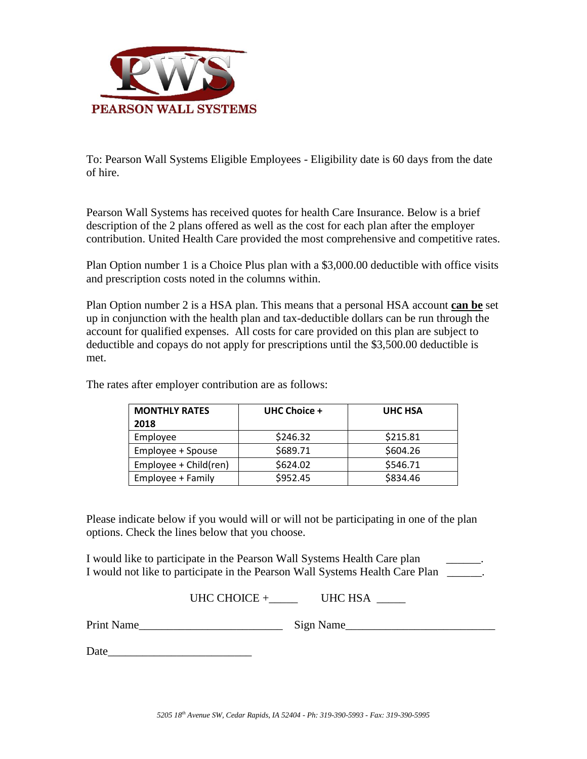

To: Pearson Wall Systems Eligible Employees - Eligibility date is 60 days from the date of hire.

Pearson Wall Systems has received quotes for health Care Insurance. Below is a brief description of the 2 plans offered as well as the cost for each plan after the employer contribution. United Health Care provided the most comprehensive and competitive rates.

Plan Option number 1 is a Choice Plus plan with a \$3,000.00 deductible with office visits and prescription costs noted in the columns within.

Plan Option number 2 is a HSA plan. This means that a personal HSA account **can be** set up in conjunction with the health plan and tax-deductible dollars can be run through the account for qualified expenses. All costs for care provided on this plan are subject to deductible and copays do not apply for prescriptions until the \$3,500.00 deductible is met.

| <b>MONTHLY RATES</b>  | UHC Choice + | UHC HSA  |
|-----------------------|--------------|----------|
| 2018                  |              |          |
| Employee              | \$246.32     | \$215.81 |
| Employee + Spouse     | \$689.71     | \$604.26 |
| Employee + Child(ren) | \$624.02     | \$546.71 |
| Employee + Family     | \$952.45     | \$834.46 |

The rates after employer contribution are as follows:

Please indicate below if you would will or will not be participating in one of the plan options. Check the lines below that you choose.

I would like to participate in the Pearson Wall Systems Health Care plan I would not like to participate in the Pearson Wall Systems Health Care Plan  $\blacksquare$ .

UHC CHOICE  $+$  UHC HSA \_\_\_\_\_\_

Print Name\_\_\_\_\_\_\_\_\_\_\_\_\_\_\_\_\_\_\_\_\_\_\_\_\_ Sign Name\_\_\_\_\_\_\_\_\_\_\_\_\_\_\_\_\_\_\_\_\_\_\_\_\_\_

Date\_\_\_\_\_\_\_\_\_\_\_\_\_\_\_\_\_\_\_\_\_\_\_\_\_